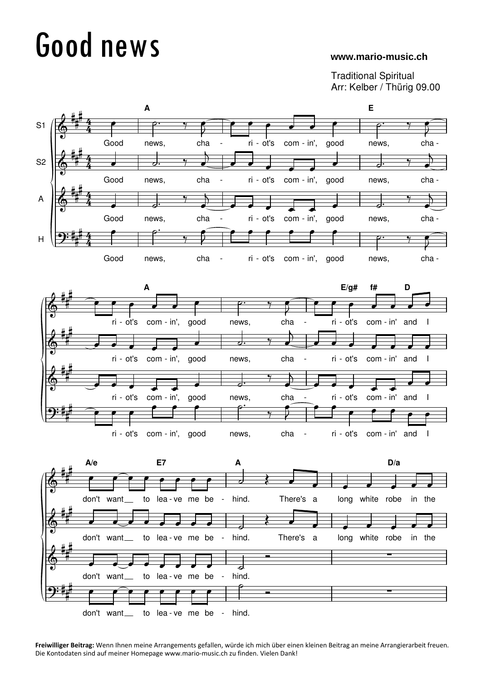## Good news

## **www.mario-music.ch**

Traditional Spiritual Arr: Kelber / Thürig 09.00



**Freiwilliger Beitrag:** Wenn Ihnen meine Arrangements gefallen, würde ich mich über einen kleinen Beitrag an meine Arrangierarbeit freuen. Die Kontodaten sind auf meiner Homepage www.mario-music.ch zu finden. Vielen Dank!